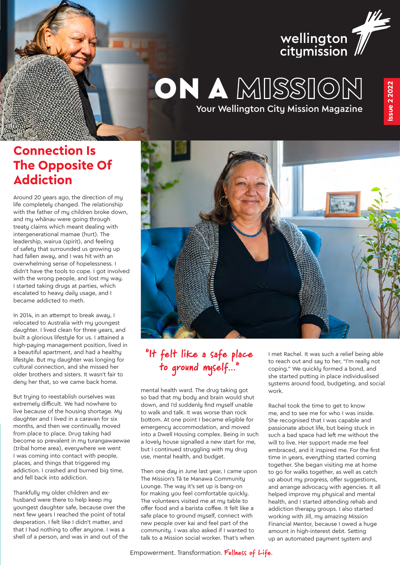

# Your Wellington City Mission Magazine ON A MISSION

### **Connection Is The Opposite Of Addiction**

Around 20 years ago, the direction of my life completely changed. The relationship with the father of my children broke down, and my whānau were going through treaty claims which meant dealing with intergenerational mamae (hurt). The leadership, wairua (spirit), and feeling of safety that surrounded us growing up had fallen away, and I was hit with an overwhelming sense of hopelessness. I didn't have the tools to cope. I got involved with the wrong people, and lost my way. I started taking drugs at parties, which escalated to heavy daily usage, and I became addicted to meth.

In 2014, in an attempt to break away, I relocated to Australia with my youngest daughter. I lived clean for three years, and built a glorious lifestyle for us. I attained a high-paying management position, lived in a beautiful apartment, and had a healthy lifestyle. But my daughter was longing for cultural connection, and she missed her older brothers and sisters. It wasn't fair to deny her that, so we came back home.

But trying to reestablish ourselves was extremely difficult. We had nowhere to live because of the housing shortage. My daughter and I lived in a caravan for six months, and then we continually moved from place to place. Drug taking had become so prevalent in my turangawaewae (tribal home area), everywhere we went I was coming into contact with people, places, and things that triggered my addiction. I crashed and burned big time, and fell back into addiction.

Thankfully my older children and exhusband were there to help keep my youngest daughter safe, because over the next few years I reached the point of total desperation. I felt like I didn't matter, and that I had nothing to offer anyone. I was a shell of a person, and was in and out of the



### "It felt like a safe place to ground myself..."

mental health ward. The drug taking got so bad that my body and brain would shut down, and I'd suddenly find myself unable to walk and talk. It was worse than rock bottom. At one point I became eligible for emergency accommodation, and moved into a Dwell Housing complex. Being in such a lovely house signalled a new start for me, but I continued struggling with my drug use, mental health, and budget.

Then one day in June last year, I came upon The Mission's Tā te Manawa Community Lounge. The way it's set up is bang-on for making you feel comfortable quickly. The volunteers visited me at my table to offer food and a barista coffee. It felt like a safe place to ground myself, connect with new people over kai and feel part of the community. I was also asked if I wanted to talk to a Mission social worker. That's when

I met Rachel. It was such a relief being able to reach out and say to her, "I'm really not coping." We quickly formed a bond, and she started putting in place individualised systems around food, budgeting, and social work.

Rachel took the time to get to know me, and to see me for who I was inside. She recognised that I was capable and passionate about life, but being stuck in such a bad space had left me without the will to live. Her support made me feel embraced, and it inspired me. For the first time in years, everything started coming together. She began visiting me at home to go for walks together, as well as catch up about my progress, offer suggestions, and arrange advocacy with agencies. It all helped improve my physical and mental health, and I started attending rehab and addiction therapy groups. I also started working with Jill, my amazing Mission Financial Mentor, because I owed a huge amount in high-interest debt. Setting up an automated payment system and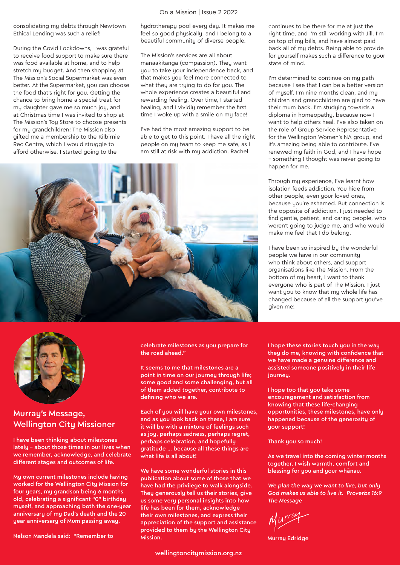#### On a Mission | Issue 2 2022

consolidating my debts through Newtown Ethical Lending was such a relief!

During the Covid Lockdowns, I was grateful to receive food support to make sure there was food available at home, and to help stretch my budget. And then shopping at The Mission's Social Supermarket was even better. At the Supermarket, you can choose the food that's right for you. Getting the chance to bring home a special treat for my daughter gave me so much joy, and at Christmas time I was invited to shop at The Mission's Toy Store to choose presents for my grandchildren! The Mission also gifted me a membership to the Kilbirnie Rec Centre, which I would struggle to afford otherwise. I started going to the

hydrotherapy pool every day. It makes me feel so good physically, and I belong to a beautiful community of diverse people.

The Mission's services are all about manaakitanga (compassion). They want you to take your independence back, and that makes you feel more connected to what they are trying to do for you. The whole experience creates a beautiful and rewarding feeling. Over time, I started healing, and I vividly remember the first time I woke up with a smile on my face!

I've had the most amazing support to be able to get to this point. I have all the right people on my team to keep me safe, as I am still at risk with my addiction. Rachel





#### Murray's Message, Wellington City Missioner

I have been thinking about milestones lately – about those times in our lives when we remember, acknowledge, and celebrate different stages and outcomes of life.

Mu own current milestones include having worked for the Wellington City Mission for four years, my grandson being 6 months old, celebrating a significant "0" birthday myself, and approaching both the one-year anniversary of my Dad's death and the 20 year anniversary of Mum passing away.

Nelson Mandela said: "Remember to

celebrate milestones as you prepare for the road ahead."

It seems to me that milestones are a point in time on our journey through life; some good and some challenging, but all of them added together, contribute to defining who we are.

Each of you will have your own milestones, and as you look back on these, I am sure it will be with a mixture of feelings such as joy, perhaps sadness, perhaps regret, perhaps celebration, and hopefully gratitude … because all these things are what life is all about!

We have some wonderful stories in this publication about some of those that we have had the privilege to walk alongside. They generously tell us their stories, give us some very personal insights into how life has been for them, acknowledge their own milestones, and express their appreciation of the support and assistance provided to them by the Wellington City Mission.

wellingtoncitymission.org.nz

continues to be there for me at just the right time, and I'm still working with Jill. I'm on top of my bills, and have almost paid back all of my debts. Being able to provide for yourself makes such a difference to your state of mind.

I'm determined to continue on my path because I see that I can be a better version of myself. I'm nine months clean, and my children and grandchildren are glad to have their mum back. I'm studying towards a diploma in homeopathy, because now I want to help others heal. I've also taken on the role of Group Service Representative for the Wellington Women's NA group, and it's amazing being able to contribute. I've renewed my faith in God, and I have hope – something I thought was never going to happen for me.

Through my experience, I've learnt how isolation feeds addiction. You hide from other people, even your loved ones, because you're ashamed. But connection is the opposite of addiction. I just needed to find gentle, patient, and caring people, who weren't going to judge me, and who would make me feel that I do belong.

I have been so inspired by the wonderful people we have in our community who think about others, and support organisations like The Mission. From the bottom of my heart, I want to thank everyone who is part of The Mission. I just want you to know that my whole life has changed because of all the support you've given me!

I hope these stories touch you in the way they do me, knowing with confidence that we have made a genuine difference and assisted someone positively in their life iourneu.

I hope too that you take some encouragement and satisfaction from knowing that these life-changing opportunities, these milestones, have only happened because of the generosity of your support!

Thank you so much!

As we travel into the coming winter months together, I wish warmth, comfort and blessing for you and your whānau.

*We plan the way we want to live, but only God makes us able to live it. Proverbs 16:9 The Message*

Murray Edridge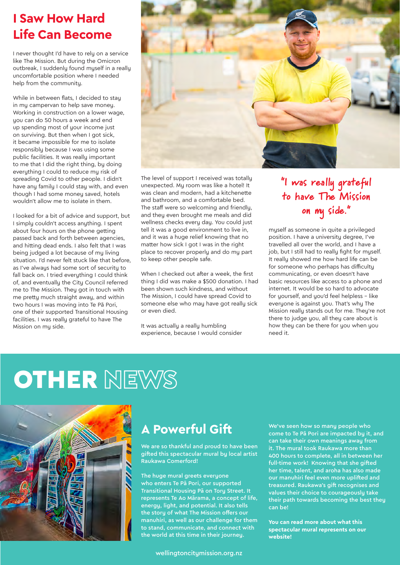# **I Saw How Hard Life Can Become**

I never thought I'd have to rely on a service like The Mission. But during the Omicron outbreak, I suddenly found myself in a really uncomfortable position where I needed help from the community.

While in between flats, I decided to stay in my campervan to help save money. Working in construction on a lower wage, you can do 50 hours a week and end up spending most of your income just on surviving. But then when I got sick, it became impossible for me to isolate responsibly because I was using some public facilities. It was really important to me that I did the right thing, by doing everything I could to reduce my risk of spreading Covid to other people. I didn't have any family I could stay with, and even though I had some money saved, hotels wouldn't allow me to isolate in them.

I looked for a bit of advice and support, but I simply couldn't access anything. I spent about four hours on the phone getting passed back and forth between agencies, and hitting dead ends. I also felt that I was being judged a lot because of my living situation. I'd never felt stuck like that before, as I've always had some sort of security to fall back on. I tried everything I could think of, and eventually the City Council referred me to The Mission. They got in touch with me pretty much straight away, and within two hours I was moving into Te Pā Pori, one of their supported Transitional Housing facilities. I was really grateful to have The Mission on my side.



The level of support I received was totally unexpected. My room was like a hotel! It was clean and modern, had a kitchenette and bathroom, and a comfortable bed. The staff were so welcoming and friendly, and they even brought me meals and did wellness checks every day. You could just tell it was a good environment to live in, and it was a huge relief knowing that no matter how sick I got I was in the right place to recover properly and do my part to keep other people safe.

When I checked out after a week, the first thing I did was make a \$500 donation. I had been shown such kindness, and without The Mission, I could have spread Covid to someone else who may have got really sick or even died.

It was actually a really humbling experience, because I would consider

### "I was really grateful to have The Mission on my side."

myself as someone in quite a privileged position. I have a university degree, I've travelled all over the world, and I have a job, but I still had to really fight for myself. It really showed me how hard life can be for someone who perhaps has difficulty communicating, or even doesn't have basic resources like access to a phone and internet. It would be so hard to advocate for yourself, and you'd feel helpless – like everyone is against you. That's why The Mission really stands out for me. They're not there to judge you, all they care about is how they can be there for you when you need it.

# **OTHER NEWS**



## **A Powerful Gift**

We are so thankful and proud to have been gifted this spectacular mural by local artist Raukawa Comerford!

The huge mural greets everyone who enters Te Pā Pori, our supported Transitional Housing Pā on Tory Street. It represents Te Ao Mārama, a concept of life, energy, light, and potential. It also tells the story of what The Mission offers our manuhiri, as well as our challenge for them to stand, communicate, and connect with the world at this time in their journey.

wellingtoncitymission.org.nz

We've seen how so many people who come to Te Pā Pori are impacted by it, and can take their own meanings away from it. The mural took Raukawa more than 400 hours to complete, all in between her full-time work! Knowing that she gifted her time, talent, and aroha has also made our manuhiri feel even more uplifted and treasured. Raukawa's gift recognises and values their choice to courageously take their path towards becoming the best they can be!

**You can read more about what this spectacular mural represents on our website!**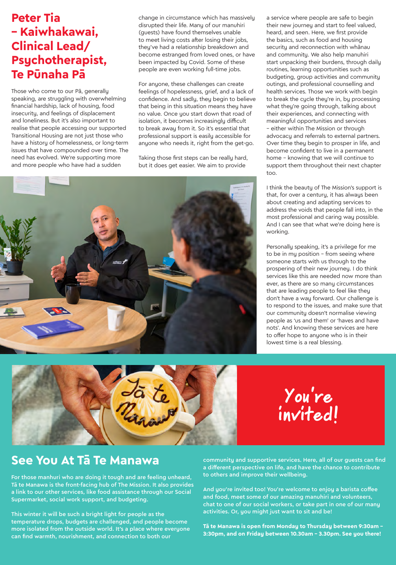### **Peter Tia – Kaiwhakawai, Clinical Lead/ Psychotherapist, Te Pūnaha Pā**

Those who come to our Pā, generally speaking, are struggling with overwhelming financial hardship, lack of housing, food insecurity, and feelings of displacement and loneliness. But it's also important to realise that people accessing our supported Transitional Housing are not just those who have a history of homelessness, or long-term issues that have compounded over time. The need has evolved. We're supporting more and more people who have had a sudden

change in circumstance which has massively disrupted their life. Many of our manuhiri (guests) have found themselves unable to meet living costs after losing their jobs, they've had a relationship breakdown and become estranged from loved ones, or have been impacted by Covid. Some of these people are even working full-time jobs.

For anyone, these challenges can create feelings of hopelessness, grief, and a lack of confidence. And sadly, they begin to believe that being in this situation means they have no value. Once you start down that road of isolation, it becomes increasingly difficult to break away from it. So it's essential that professional support is easily accessible for anyone who needs it, right from the get-go.

Taking those first steps can be really hard, but it does get easier. We aim to provide



a service where people are safe to begin their new journey and start to feel valued, heard, and seen. Here, we first provide the basics, such as food and housing security and reconnection with whānau and community. We also help manuhiri start unpacking their burdens, through daily routines, learning opportunities such as budgeting, group activities and community outings, and professional counselling and health services. Those we work with begin to break the cycle they're in, by processing what they're going through, talking about their experiences, and connecting with meaningful opportunities and services – either within The Mission or through advocacy and referrals to external partners. Over time they begin to prosper in life, and become confident to live in a permanent home – knowing that we will continue to support them throughout their next chapter too.

I think the beauty of The Mission's support is that, for over a century, it has always been about creating and adapting services to address the voids that people fall into, in the most professional and caring way possible. And I can see that what we're doing here is working.

Personally speaking, it's a privilege for me to be in my position – from seeing where someone starts with us through to the prospering of their new journey. I do think services like this are needed now more than ever, as there are so many circumstances that are leading people to feel like they don't have a way forward. Our challenge is to respond to the issues, and make sure that our community doesn't normalise viewing people as 'us and them' or 'haves and have nots'. And knowing these services are here to offer hope to anyone who is in their lowest time is a real blessing.





### **See You At Tā Te Manawa**

For those manhuri who are doing it tough and are feeling unheard, Tā te Manawa is the front-facing hub of The Mission. It also provides a link to our other services, like food assistance through our Social Supermarket, social work support, and budgeting.

This winter it will be such a bright light for people as the temperature drops, budgets are challenged, and people become more isolated from the outside world. It's a place where everyone can find warmth, nourishment, and connection to both our

community and supportive services. Here, all of our guests can find a different perspective on life, and have the chance to contribute to others and improve their wellbeing.

And you're invited too! You're welcome to enjoy a barista coffee and food, meet some of our amazing manuhiri and volunteers, chat to one of our social workers, or take part in one of our many activities. Or, you might just want to sit and be!

**Tā te Manawa is open from Monday to Thursday between 9:30am – 3:30pm, and on Friday between 10.30am – 3.30pm. See you there!**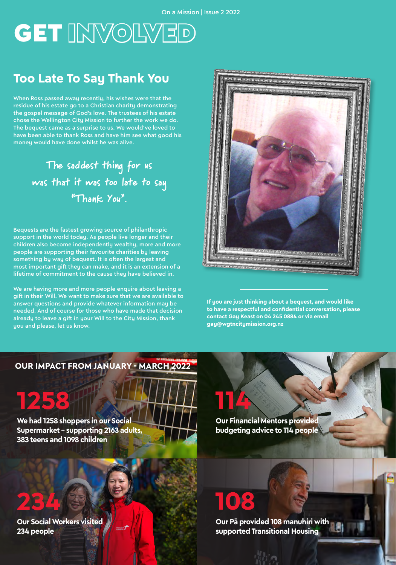# **GET INVOLVED**

### **Too Late To Say Thank You**

When Ross passed away recently, his wishes were that the residue of his estate go to a Christian charity demonstrating the gospel message of God's love. The trustees of his estate chose the Wellington City Mission to further the work we do. The bequest came as a surprise to us. We would've loved to have been able to thank Ross and have him see what good his money would have done whilst he was alive.

> The saddest thing for us was that it was too late to say "Thank You".

Bequests are the fastest growing source of philanthropic support in the world today. As people live longer and their children also become independently wealthy, more and more people are supporting their favourite charities by leaving something by way of bequest. It is often the largest and most important gift they can make, and it is an extension of a lifetime of commitment to the cause they have believed in.

We are having more and more people enquire about leaving a gift in their Will. We want to make sure that we are available to answer questions and provide whatever information may be needed. And of course for those who have made that decision already to leave a gift in your Will to the City Mission, thank you and please, let us know.



**If you are just thinking about a bequest, and would like to have a respectful and confidential conversation, please contact Gay Keast on 04 245 0884 or via email gay@wgtncitymission.org.nz**

#### **OUR IMPACT FROM JANUARY - MARCH 2022**

# **1258**

**We had 1258 shoppers in our Social Supermarket – supporting 2163 adults, 383 teens and 1098 children** 

**Our Financial Mentors provided budgeting advice to 114 people**

# **234**

**Our Social Workers visited 234 people** 

# **18**

**114**

**Our Pā provided 108 manuhiri with supported Transitional Housing**